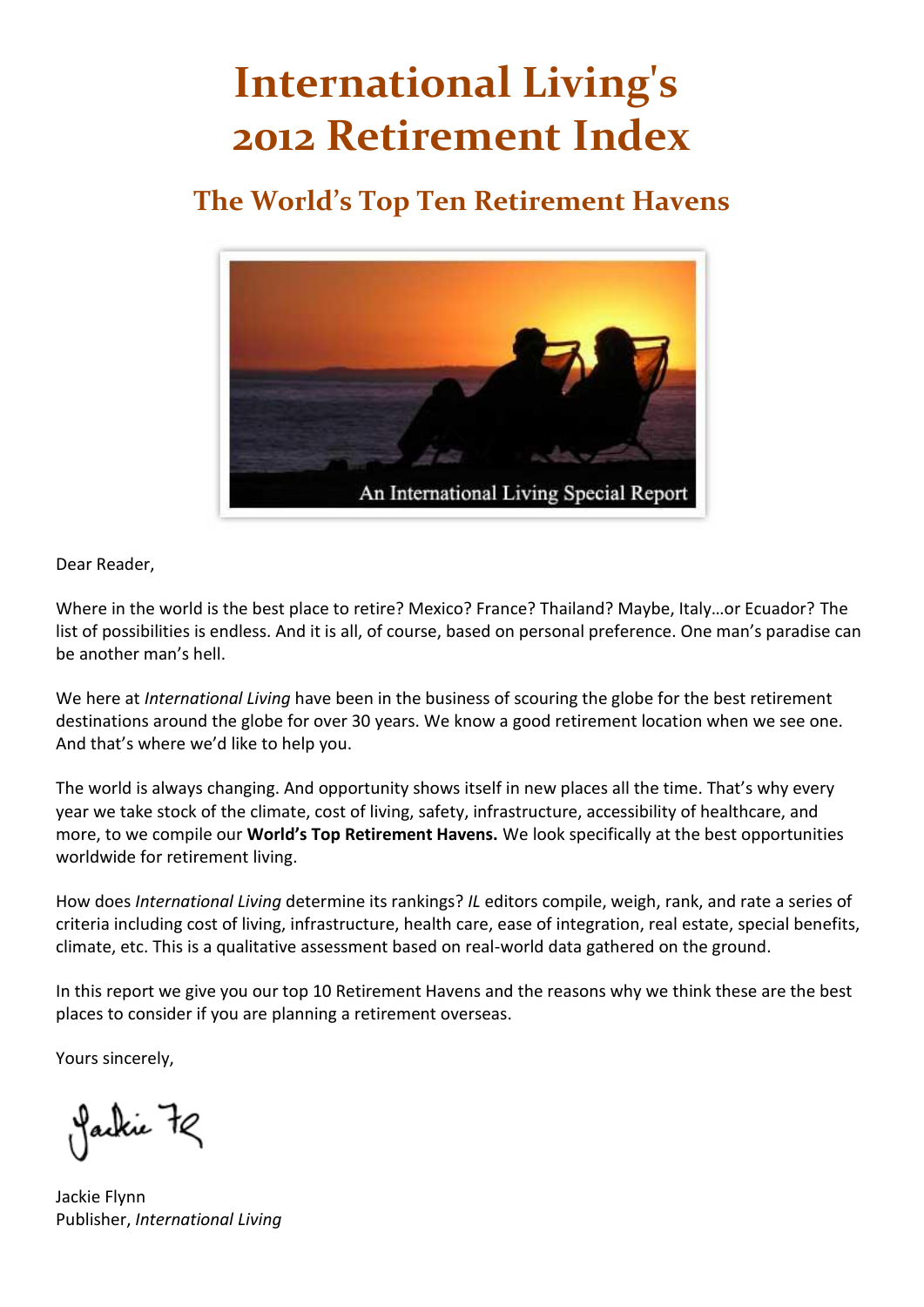# **International Living's 2012 Retirement Index**

## **The World's Top Ten Retirement Havens**



Dear Reader,

Where in the world is the best place to retire? Mexico? France? Thailand? Maybe, Italy…or Ecuador? The list of possibilities is endless. And it is all, of course, based on personal preference. One man's paradise can be another man's hell.

We here at *International Living* have been in the business of scouring the globe for the best retirement destinations around the globe for over 30 years. We know a good retirement location when we see one. And that's where we'd like to help you.

The world is always changing. And opportunity shows itself in new places all the time. That's why every year we take stock of the climate, cost of living, safety, infrastructure, accessibility of healthcare, and more, to we compile our **World's Top Retirement Havens.** We look specifically at the best opportunities worldwide for retirement living.

How does *International Living* determine its rankings? *IL* editors compile, weigh, rank, and rate a series of criteria including cost of living, infrastructure, health care, ease of integration, real estate, special benefits, climate, etc. This is a qualitative assessment based on real-world data gathered on the ground.

In this report we give you our top 10 Retirement Havens and the reasons why we think these are the best places to consider if you are planning a retirement overseas.

Yours sincerely,

Jackie 72

Jackie Flynn Publisher, *International Living*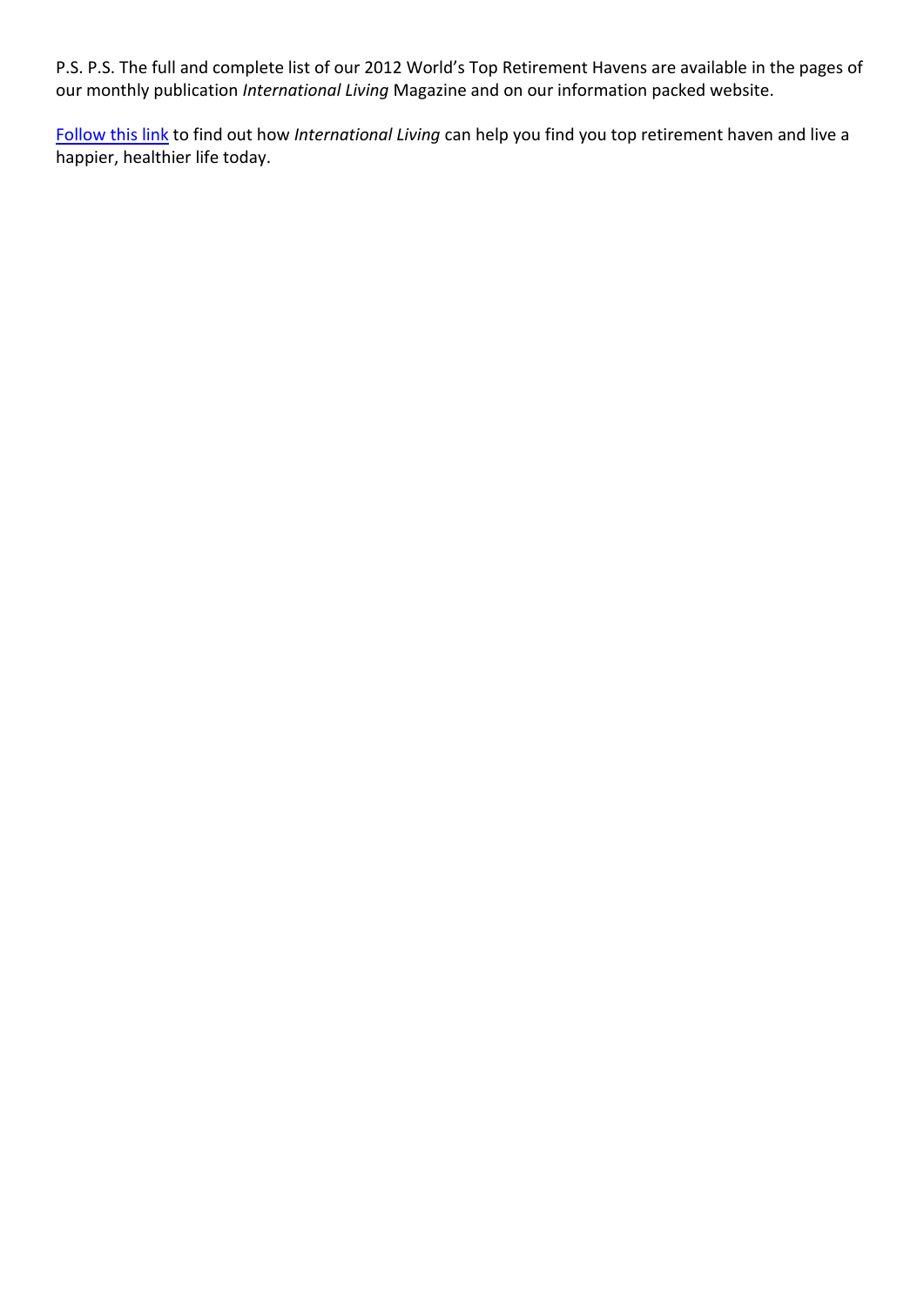P.S. P.S. The full and complete list of our 2012 World's Top Retirement Havens are available in the pages of our monthly publication *International Living* Magazine and on our information packed website.

[Follow this link](https://orders.internationalliving.com/ILV/WILVL1P2/landing.html) to find out how *International Living* can help you find you top retirement haven and live a happier, healthier life today.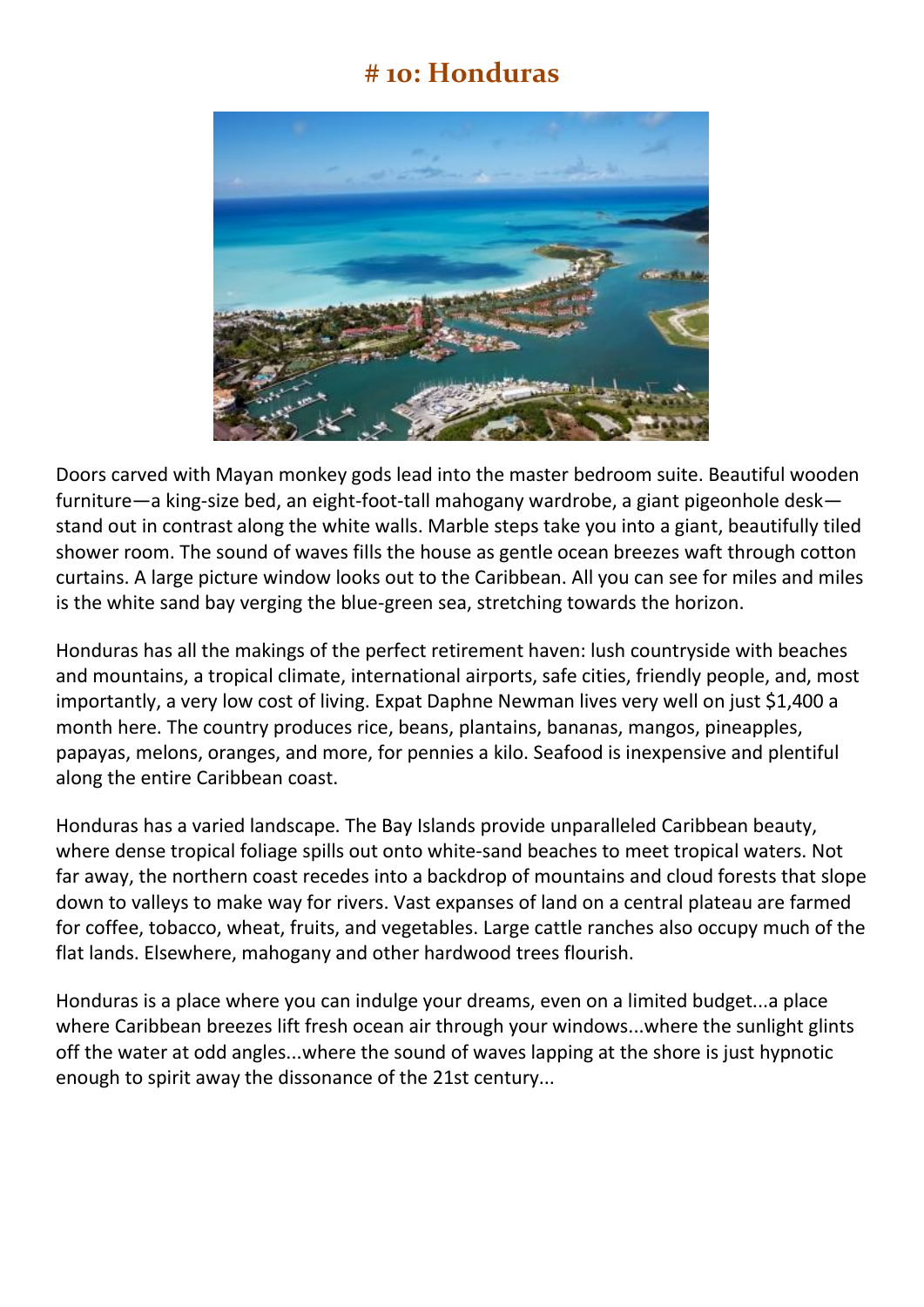#### **# 10: Honduras**



Doors carved with Mayan monkey gods lead into the master bedroom suite. Beautiful wooden furniture—a king-size bed, an eight-foot-tall mahogany wardrobe, a giant pigeonhole desk stand out in contrast along the white walls. Marble steps take you into a giant, beautifully tiled shower room. The sound of waves fills the house as gentle ocean breezes waft through cotton curtains. A large picture window looks out to the Caribbean. All you can see for miles and miles is the white sand bay verging the blue-green sea, stretching towards the horizon.

Honduras has all the makings of the perfect retirement haven: lush countryside with beaches and mountains, a tropical climate, international airports, safe cities, friendly people, and, most importantly, a very low cost of living. Expat Daphne Newman lives very well on just \$1,400 a month here. The country produces rice, beans, plantains, bananas, mangos, pineapples, papayas, melons, oranges, and more, for pennies a kilo. Seafood is inexpensive and plentiful along the entire Caribbean coast.

Honduras has a varied landscape. The Bay Islands provide unparalleled Caribbean beauty, where dense tropical foliage spills out onto white-sand beaches to meet tropical waters. Not far away, the northern coast recedes into a backdrop of mountains and cloud forests that slope down to valleys to make way for rivers. Vast expanses of land on a central plateau are farmed for coffee, tobacco, wheat, fruits, and vegetables. Large cattle ranches also occupy much of the flat lands. Elsewhere, mahogany and other hardwood trees flourish.

Honduras is a place where you can indulge your dreams, even on a limited budget...a place where Caribbean breezes lift fresh ocean air through your windows...where the sunlight glints off the water at odd angles...where the sound of waves lapping at the shore is just hypnotic enough to spirit away the dissonance of the 21st century...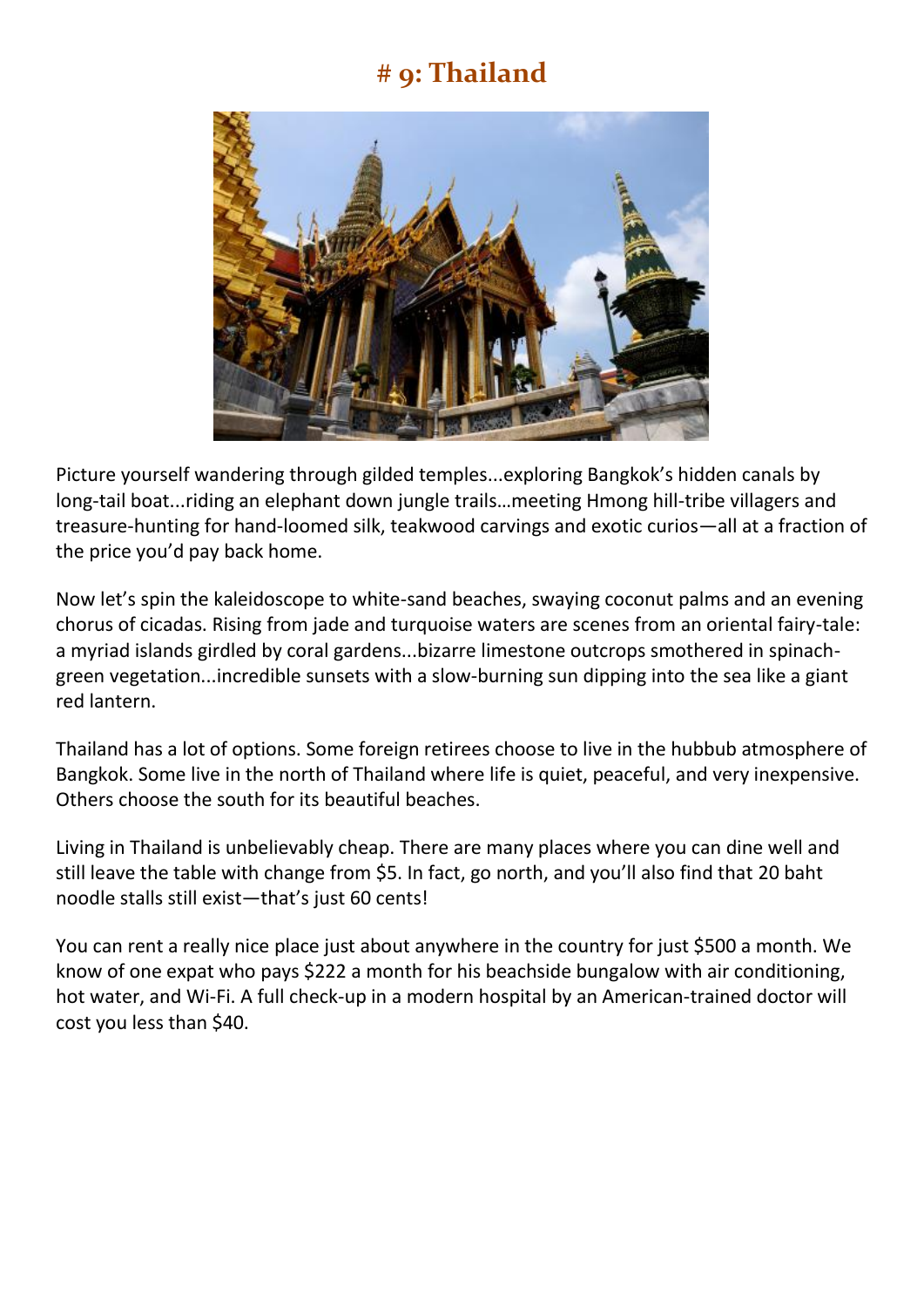## **# 9: Thailand**



Picture yourself wandering through gilded temples...exploring Bangkok's hidden canals by long-tail boat...riding an elephant down jungle trails…meeting Hmong hill-tribe villagers and treasure-hunting for hand-loomed silk, teakwood carvings and exotic curios—all at a fraction of the price you'd pay back home.

Now let's spin the kaleidoscope to white-sand beaches, swaying coconut palms and an evening chorus of cicadas. Rising from jade and turquoise waters are scenes from an oriental fairy-tale: a myriad islands girdled by coral gardens...bizarre limestone outcrops smothered in spinachgreen vegetation...incredible sunsets with a slow-burning sun dipping into the sea like a giant red lantern.

Thailand has a lot of options. Some foreign retirees choose to live in the hubbub atmosphere of Bangkok. Some live in the north of Thailand where life is quiet, peaceful, and very inexpensive. Others choose the south for its beautiful beaches.

Living in Thailand is unbelievably cheap. There are many places where you can dine well and still leave the table with change from \$5. In fact, go north, and you'll also find that 20 baht noodle stalls still exist—that's just 60 cents!

You can rent a really nice place just about anywhere in the country for just \$500 a month. We know of one expat who pays \$222 a month for his beachside bungalow with air conditioning, hot water, and Wi-Fi. A full check-up in a modern hospital by an American-trained doctor will cost you less than \$40.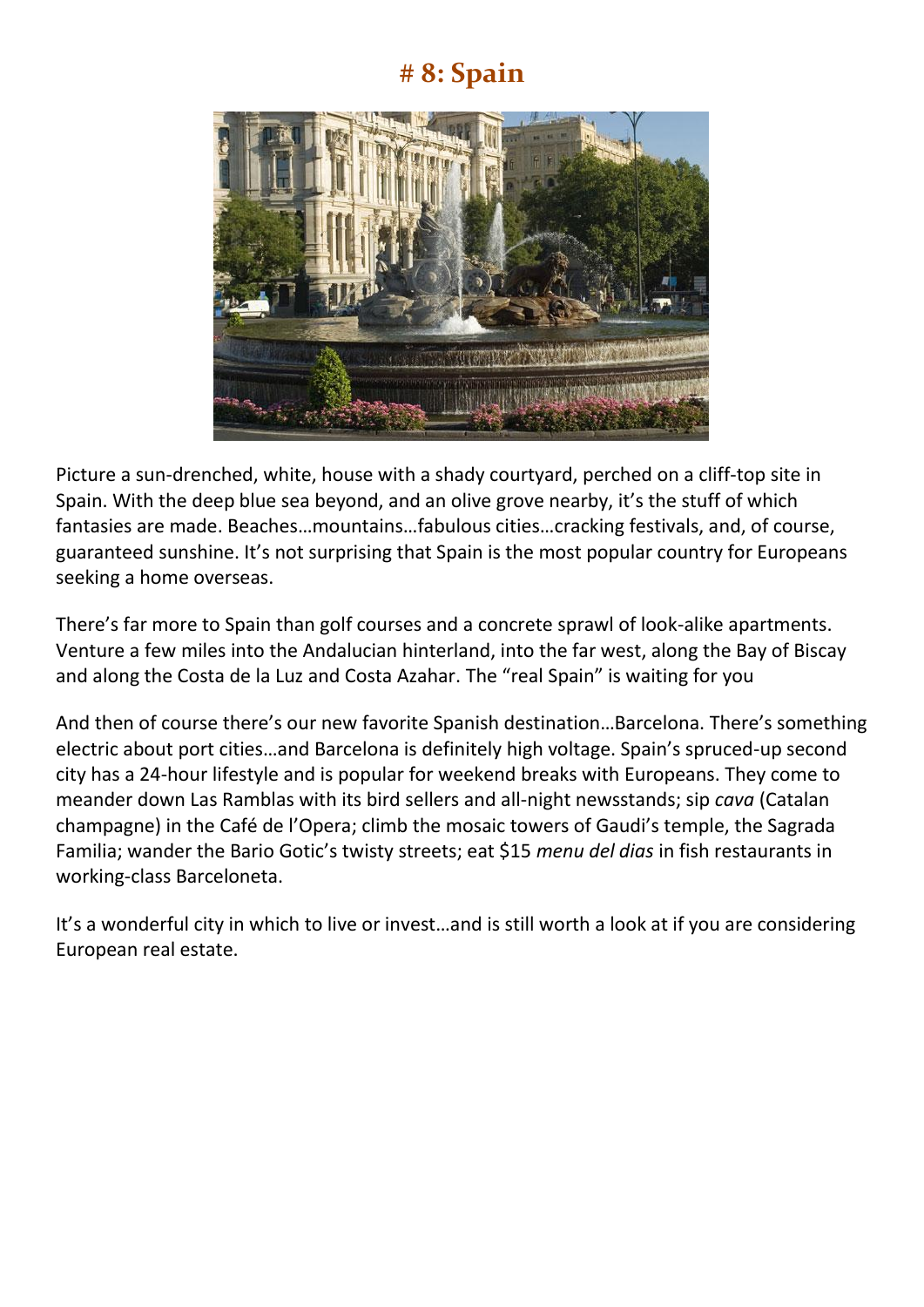## **# 8: Spain**



Picture a sun-drenched, white, house with a shady courtyard, perched on a cliff-top site in Spain. With the deep blue sea beyond, and an olive grove nearby, it's the stuff of which fantasies are made. Beaches…mountains…fabulous cities…cracking festivals, and, of course, guaranteed sunshine. It's not surprising that Spain is the most popular country for Europeans seeking a home overseas.

There's far more to Spain than golf courses and a concrete sprawl of look-alike apartments. Venture a few miles into the Andalucian hinterland, into the far west, along the Bay of Biscay and along the Costa de la Luz and Costa Azahar. The "real Spain" is waiting for you

And then of course there's our new favorite Spanish destination…Barcelona. There's something electric about port cities…and Barcelona is definitely high voltage. Spain's spruced-up second city has a 24-hour lifestyle and is popular for weekend breaks with Europeans. They come to meander down Las Ramblas with its bird sellers and all-night newsstands; sip *cava* (Catalan champagne) in the Café de l'Opera; climb the mosaic towers of Gaudi's temple, the Sagrada Familia; wander the Bario Gotic's twisty streets; eat \$15 *menu del dias* in fish restaurants in working-class Barceloneta.

It's a wonderful city in which to live or invest…and is still worth a look at if you are considering European real estate.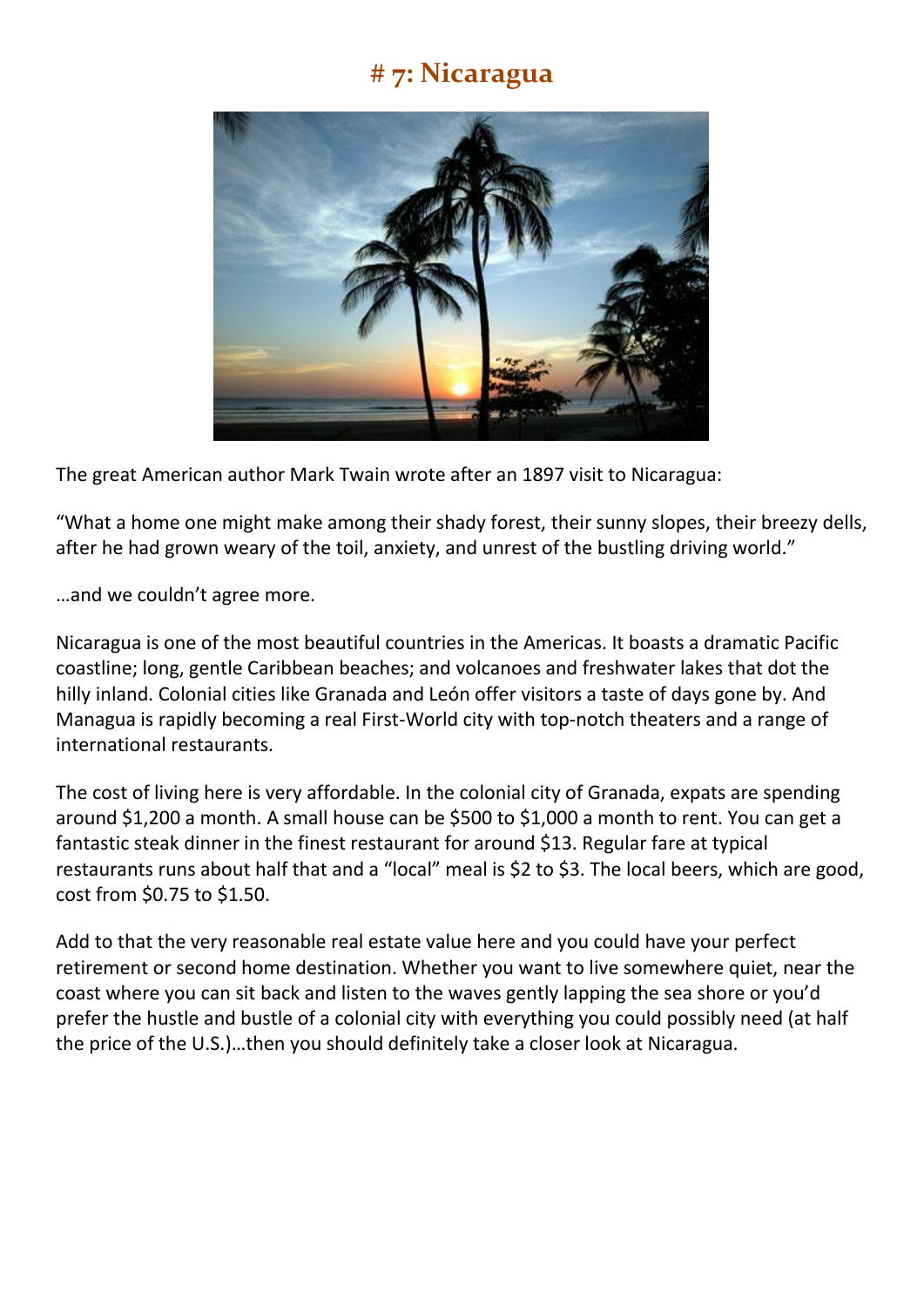## **# 7: Nicaragua**



The great American author Mark Twain wrote after an 1897 visit to Nicaragua:

"What a home one might make among their shady forest, their sunny slopes, their breezy dells, after he had grown weary of the toil, anxiety, and unrest of the bustling driving world."

…and we couldn't agree more.

Nicaragua is one of the most beautiful countries in the Americas. It boasts a dramatic Pacific coastline; long, gentle Caribbean beaches; and volcanoes and freshwater lakes that dot the hilly inland. Colonial cities like Granada and León offer visitors a taste of days gone by. And Managua is rapidly becoming a real First-World city with top-notch theaters and a range of international restaurants.

The cost of living here is very affordable. In the colonial city of Granada, expats are spending around \$1,200 a month. A small house can be \$500 to \$1,000 a month to rent. You can get a fantastic steak dinner in the finest restaurant for around \$13. Regular fare at typical restaurants runs about half that and a "local" meal is \$2 to \$3. The local beers, which are good, cost from \$0.75 to \$1.50.

Add to that the very reasonable real estate value here and you could have your perfect retirement or second home destination. Whether you want to live somewhere quiet, near the coast where you can sit back and listen to the waves gently lapping the sea shore or you'd prefer the hustle and bustle of a colonial city with everything you could possibly need (at half the price of the U.S.)…then you should definitely take a closer look at Nicaragua.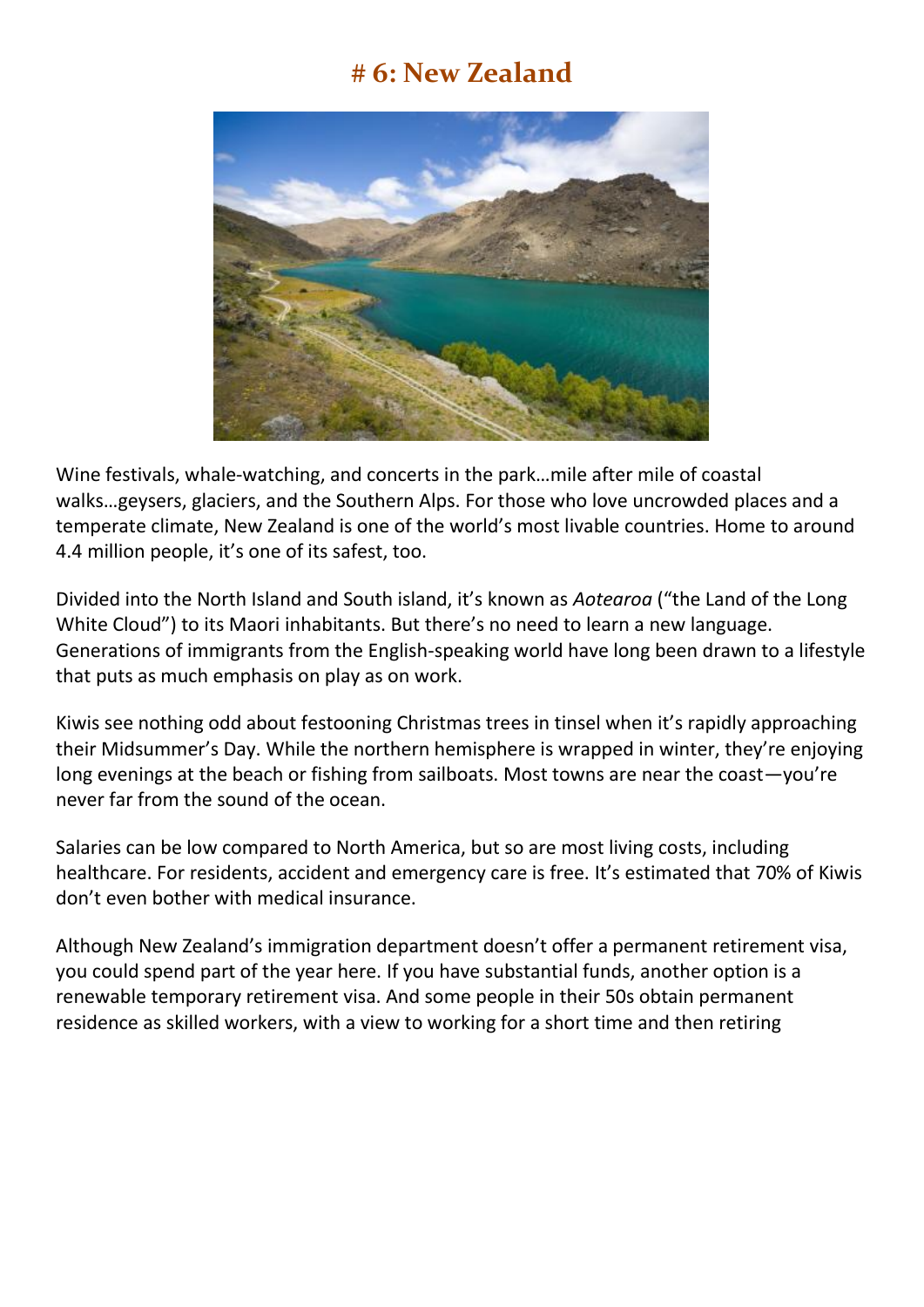## **# 6: New Zealand**



Wine festivals, whale-watching, and concerts in the park…mile after mile of coastal walks…geysers, glaciers, and the Southern Alps. For those who love uncrowded places and a temperate climate, New Zealand is one of the world's most livable countries. Home to around 4.4 million people, it's one of its safest, too.

Divided into the North Island and South island, it's known as *Aotearoa* ("the Land of the Long White Cloud") to its Maori inhabitants. But there's no need to learn a new language. Generations of immigrants from the English-speaking world have long been drawn to a lifestyle that puts as much emphasis on play as on work.

Kiwis see nothing odd about festooning Christmas trees in tinsel when it's rapidly approaching their Midsummer's Day. While the northern hemisphere is wrapped in winter, they're enjoying long evenings at the beach or fishing from sailboats. Most towns are near the coast—you're never far from the sound of the ocean.

Salaries can be low compared to North America, but so are most living costs, including healthcare. For residents, accident and emergency care is free. It's estimated that 70% of Kiwis don't even bother with medical insurance.

Although New Zealand's immigration department doesn't offer a permanent retirement visa, you could spend part of the year here. If you have substantial funds, another option is a renewable temporary retirement visa. And some people in their 50s obtain permanent residence as skilled workers, with a view to working for a short time and then retiring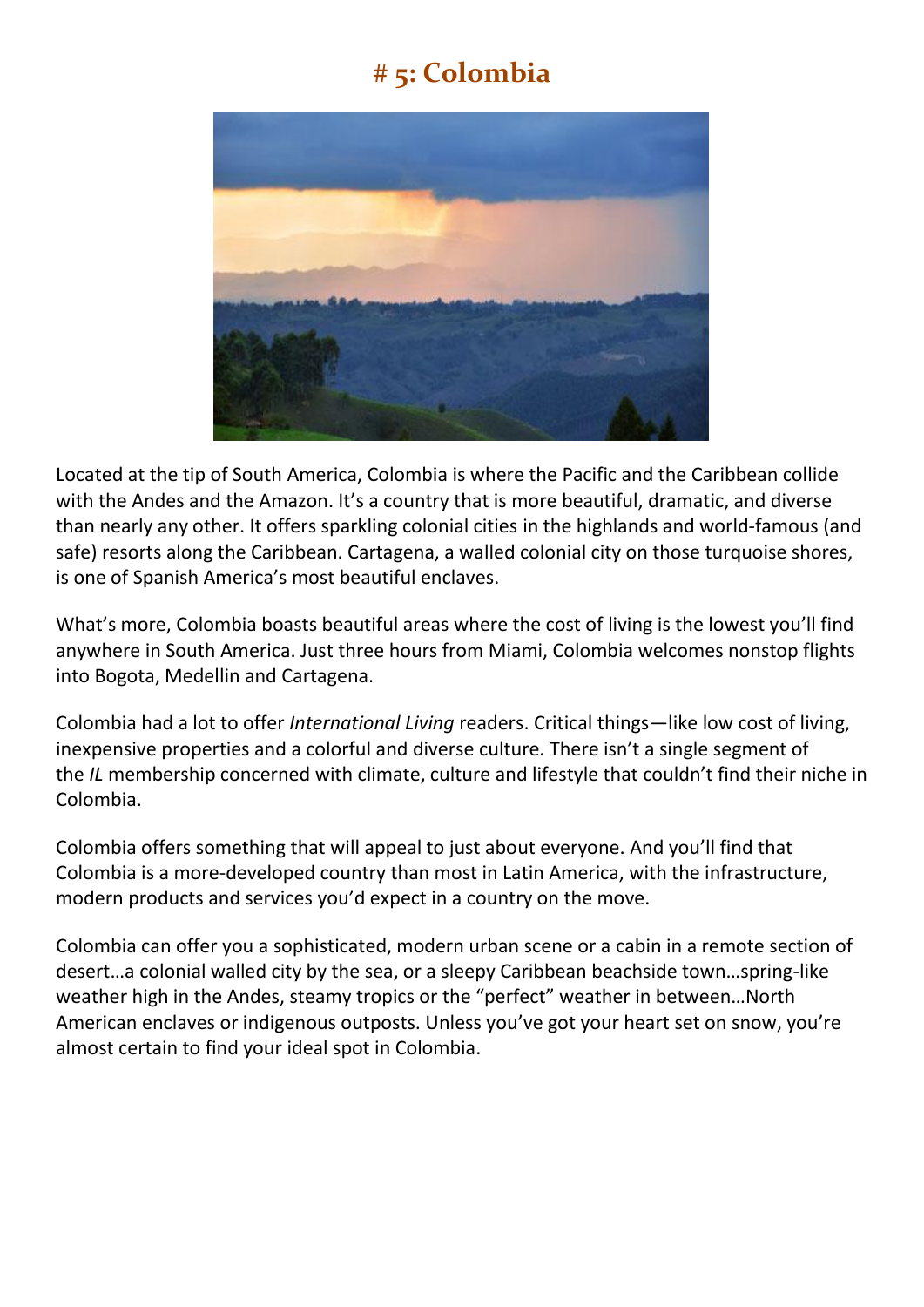## **# 5: Colombia**



Located at the tip of South America, Colombia is where the Pacific and the Caribbean collide with the Andes and the Amazon. It's a country that is more beautiful, dramatic, and diverse than nearly any other. It offers sparkling colonial cities in the highlands and world-famous (and safe) resorts along the Caribbean. Cartagena, a walled colonial city on those turquoise shores, is one of Spanish America's most beautiful enclaves.

What's more, Colombia boasts beautiful areas where the cost of living is the lowest you'll find anywhere in South America. Just three hours from Miami, Colombia welcomes nonstop flights into Bogota, Medellin and Cartagena.

Colombia had a lot to offer *International Living* readers. Critical things—like low cost of living, inexpensive properties and a colorful and diverse culture. There isn't a single segment of the *IL* membership concerned with climate, culture and lifestyle that couldn't find their niche in Colombia.

Colombia offers something that will appeal to just about everyone. And you'll find that Colombia is a more-developed country than most in Latin America, with the infrastructure, modern products and services you'd expect in a country on the move.

Colombia can offer you a sophisticated, modern urban scene or a cabin in a remote section of desert…a colonial walled city by the sea, or a sleepy Caribbean beachside town…spring-like weather high in the Andes, steamy tropics or the "perfect" weather in between…North American enclaves or indigenous outposts. Unless you've got your heart set on snow, you're almost certain to find your ideal spot in Colombia.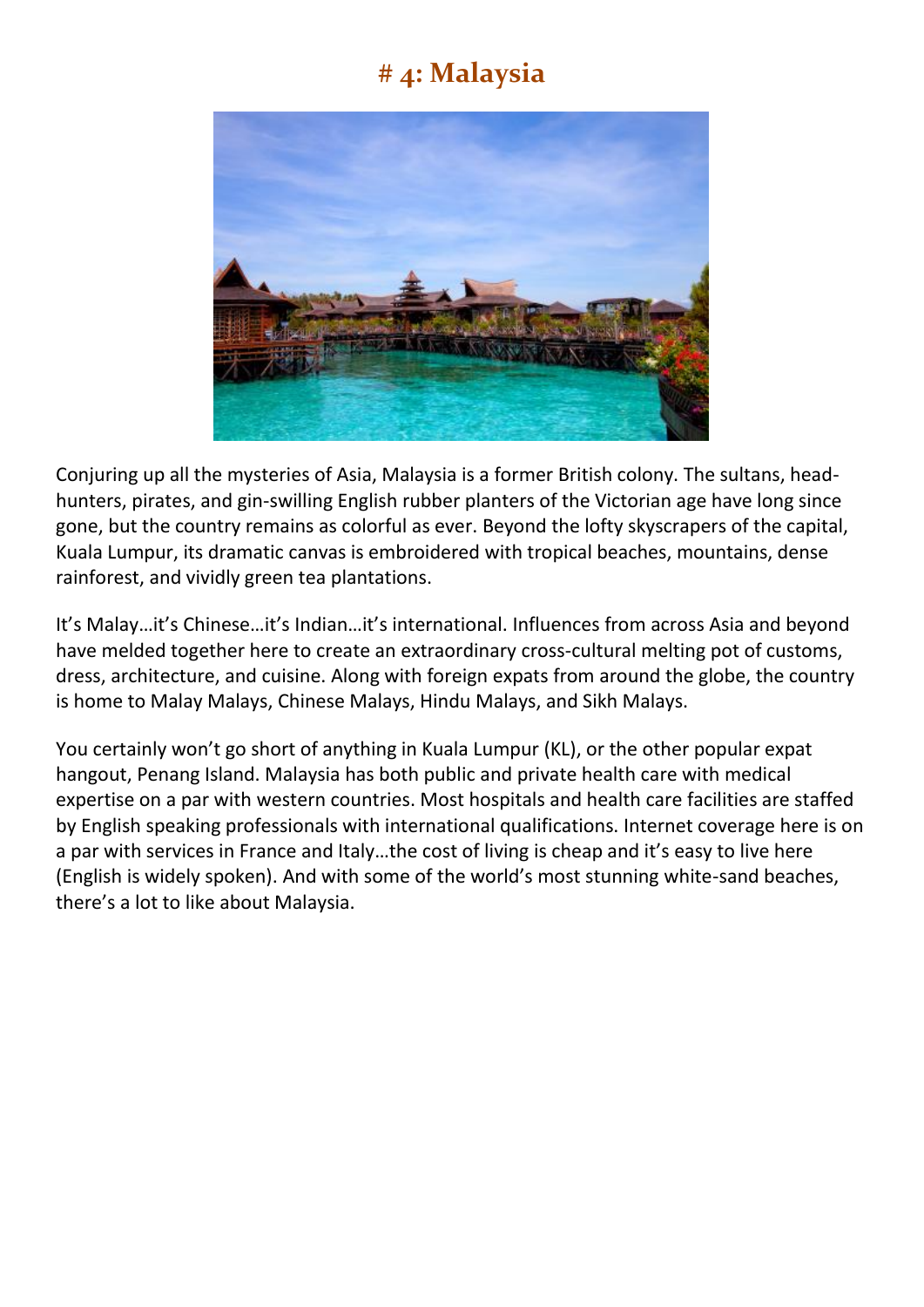## **# 4: Malaysia**



Conjuring up all the mysteries of Asia, Malaysia is a former British colony. The sultans, headhunters, pirates, and gin-swilling English rubber planters of the Victorian age have long since gone, but the country remains as colorful as ever. Beyond the lofty skyscrapers of the capital, Kuala Lumpur, its dramatic canvas is embroidered with tropical beaches, mountains, dense rainforest, and vividly green tea plantations.

It's Malay…it's Chinese…it's Indian…it's international. Influences from across Asia and beyond have melded together here to create an extraordinary cross-cultural melting pot of customs, dress, architecture, and cuisine. Along with foreign expats from around the globe, the country is home to Malay Malays, Chinese Malays, Hindu Malays, and Sikh Malays.

You certainly won't go short of anything in Kuala Lumpur (KL), or the other popular expat hangout, Penang Island. Malaysia has both public and private health care with medical expertise on a par with western countries. Most hospitals and health care facilities are staffed by English speaking professionals with international qualifications. Internet coverage here is on a par with services in France and Italy…the cost of living is cheap and it's easy to live here (English is widely spoken). And with some of the world's most stunning white-sand beaches, there's a lot to like about Malaysia.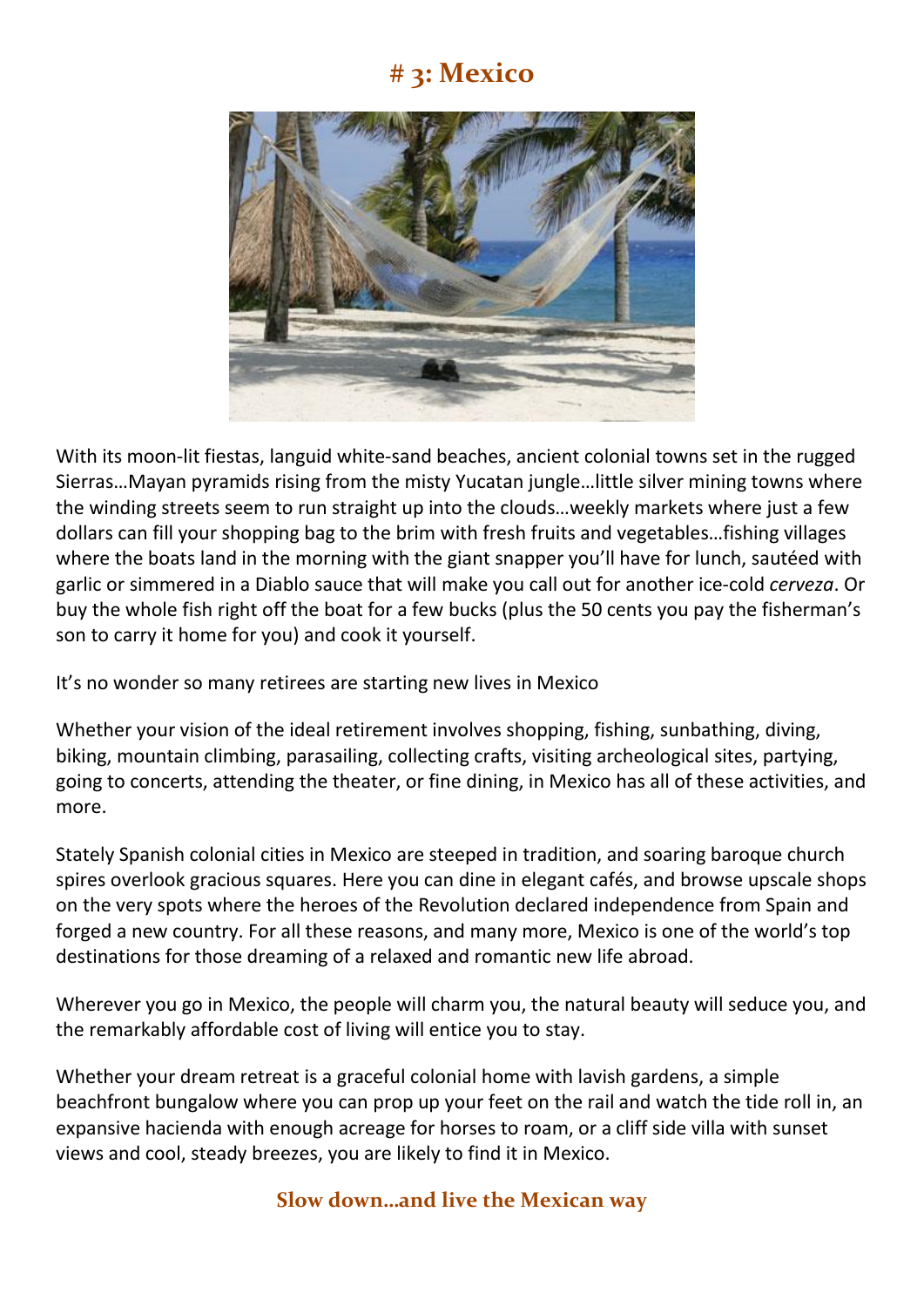## **# 3: Mexico**



With its moon-lit fiestas, languid white-sand beaches, ancient colonial towns set in the rugged Sierras…Mayan pyramids rising from the misty Yucatan jungle…little silver mining towns where the winding streets seem to run straight up into the clouds…weekly markets where just a few dollars can fill your shopping bag to the brim with fresh fruits and vegetables…fishing villages where the boats land in the morning with the giant snapper you'll have for lunch, sautéed with garlic or simmered in a Diablo sauce that will make you call out for another ice-cold *cerveza*. Or buy the whole fish right off the boat for a few bucks (plus the 50 cents you pay the fisherman's son to carry it home for you) and cook it yourself.

It's no wonder so many retirees are starting new lives in Mexico

Whether your vision of the ideal retirement involves shopping, fishing, sunbathing, diving, biking, mountain climbing, parasailing, collecting crafts, visiting archeological sites, partying, going to concerts, attending the theater, or fine dining, in Mexico has all of these activities, and more.

Stately Spanish colonial cities in Mexico are steeped in tradition, and soaring baroque church spires overlook gracious squares. Here you can dine in elegant cafés, and browse upscale shops on the very spots where the heroes of the Revolution declared independence from Spain and forged a new country. For all these reasons, and many more, Mexico is one of the world's top destinations for those dreaming of a relaxed and romantic new life abroad.

Wherever you go in Mexico, the people will charm you, the natural beauty will seduce you, and the remarkably affordable cost of living will entice you to stay.

Whether your dream retreat is a graceful colonial home with lavish gardens, a simple beachfront bungalow where you can prop up your feet on the rail and watch the tide roll in, an expansive hacienda with enough acreage for horses to roam, or a cliff side villa with sunset views and cool, steady breezes, you are likely to find it in Mexico.

#### **Slow down…and live the Mexican way**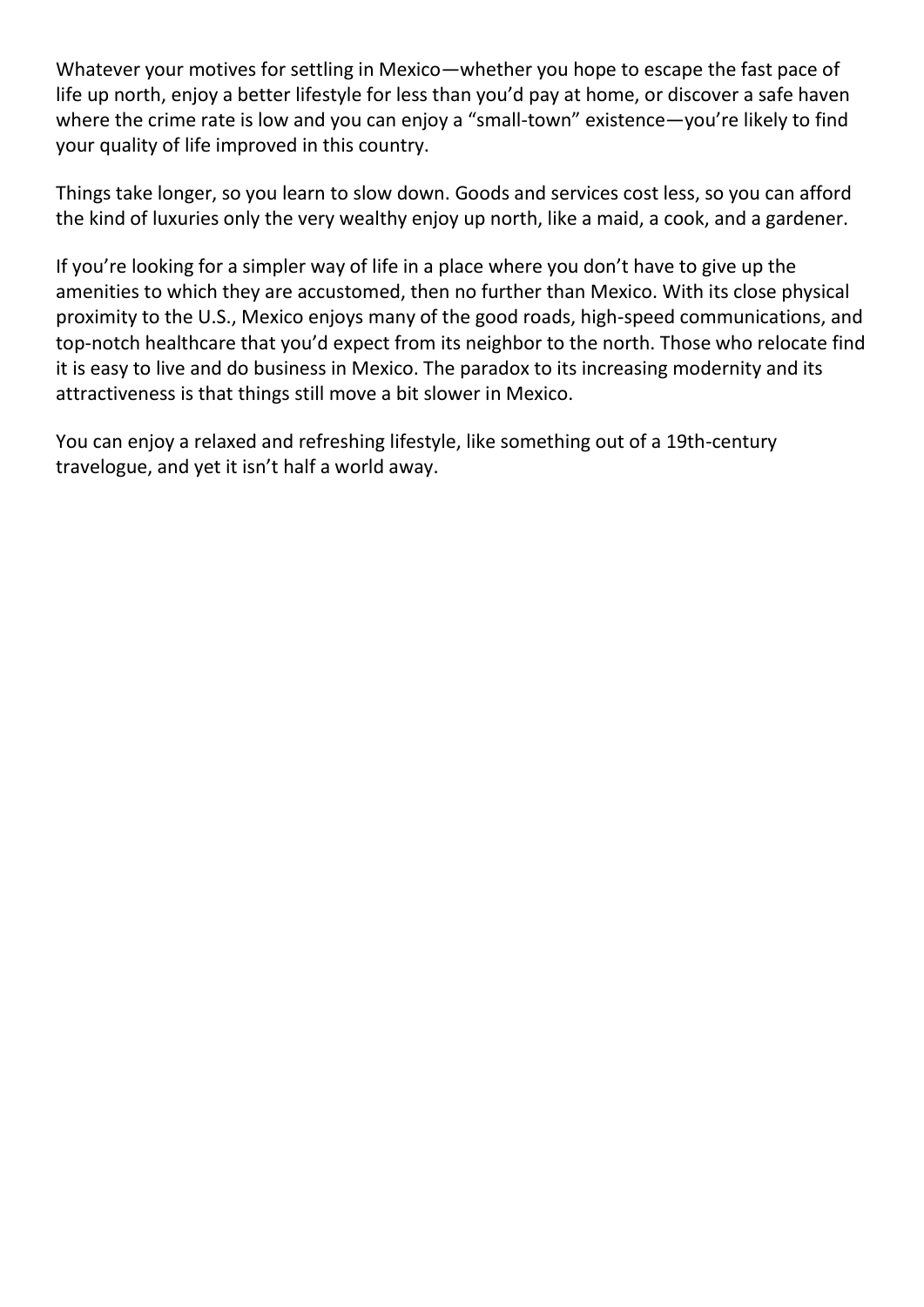Whatever your motives for settling in Mexico—whether you hope to escape the fast pace of life up north, enjoy a better lifestyle for less than you'd pay at home, or discover a safe haven where the crime rate is low and you can enjoy a "small-town" existence—you're likely to find your quality of life improved in this country.

Things take longer, so you learn to slow down. Goods and services cost less, so you can afford the kind of luxuries only the very wealthy enjoy up north, like a maid, a cook, and a gardener.

If you're looking for a simpler way of life in a place where you don't have to give up the amenities to which they are accustomed, then no further than Mexico. With its close physical proximity to the U.S., Mexico enjoys many of the good roads, high-speed communications, and top-notch healthcare that you'd expect from its neighbor to the north. Those who relocate find it is easy to live and do business in Mexico. The paradox to its increasing modernity and its attractiveness is that things still move a bit slower in Mexico.

You can enjoy a relaxed and refreshing lifestyle, like something out of a 19th-century travelogue, and yet it isn't half a world away.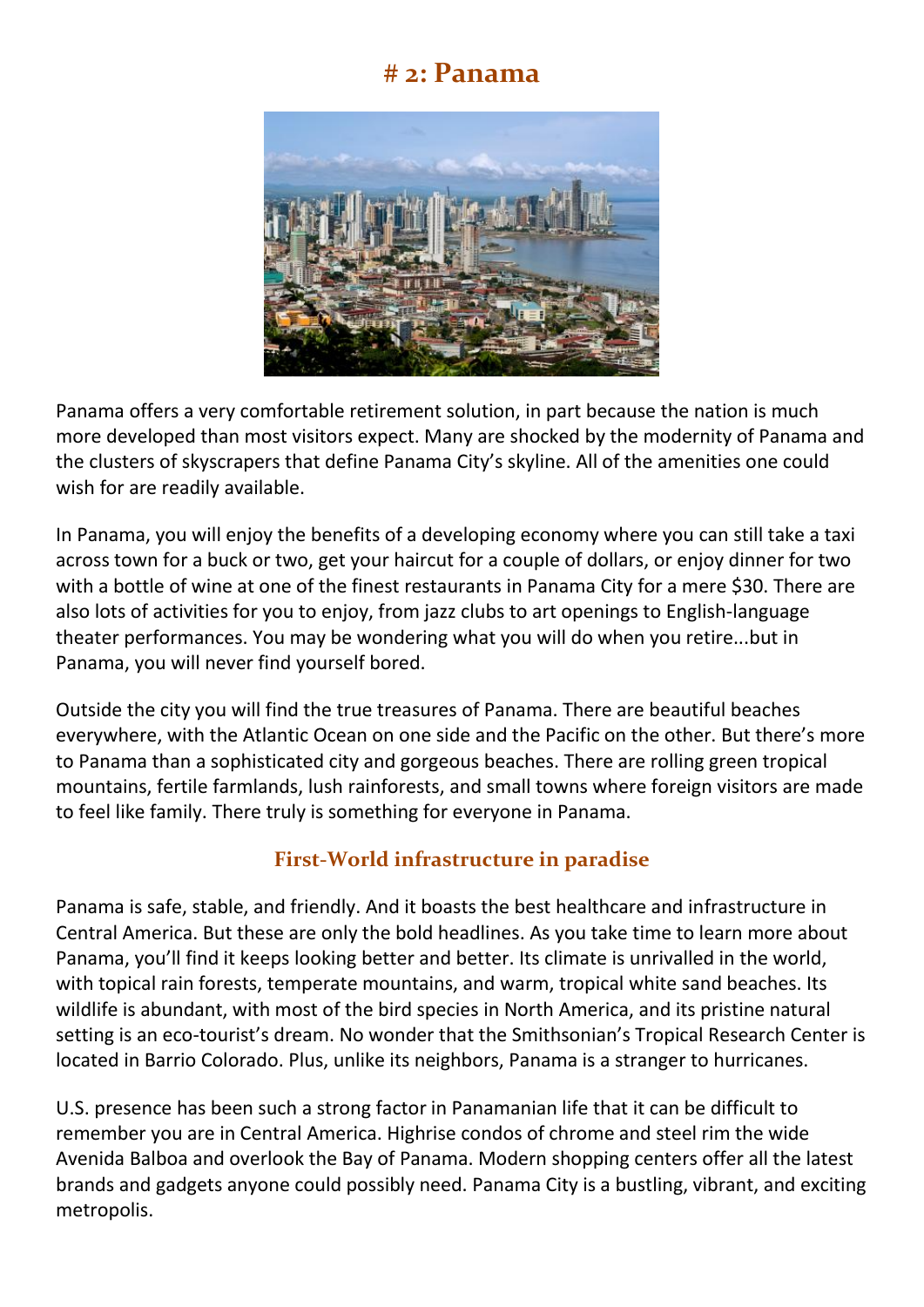#### **# 2: Panama**



Panama offers a very comfortable retirement solution, in part because the nation is much more developed than most visitors expect. Many are shocked by the modernity of Panama and the clusters of skyscrapers that define Panama City's skyline. All of the amenities one could wish for are readily available.

In Panama, you will enjoy the benefits of a developing economy where you can still take a taxi across town for a buck or two, get your haircut for a couple of dollars, or enjoy dinner for two with a bottle of wine at one of the finest restaurants in Panama City for a mere \$30. There are also lots of activities for you to enjoy, from jazz clubs to art openings to English-language theater performances. You may be wondering what you will do when you retire...but in Panama, you will never find yourself bored.

Outside the city you will find the true treasures of Panama. There are beautiful beaches everywhere, with the Atlantic Ocean on one side and the Pacific on the other. But there's more to Panama than a sophisticated city and gorgeous beaches. There are rolling green tropical mountains, fertile farmlands, lush rainforests, and small towns where foreign visitors are made to feel like family. There truly is something for everyone in Panama.

#### **First-World infrastructure in paradise**

Panama is safe, stable, and friendly. And it boasts the best healthcare and infrastructure in Central America. But these are only the bold headlines. As you take time to learn more about Panama, you'll find it keeps looking better and better. Its climate is unrivalled in the world, with topical rain forests, temperate mountains, and warm, tropical white sand beaches. Its wildlife is abundant, with most of the bird species in North America, and its pristine natural setting is an eco-tourist's dream. No wonder that the Smithsonian's Tropical Research Center is located in Barrio Colorado. Plus, unlike its neighbors, Panama is a stranger to hurricanes.

U.S. presence has been such a strong factor in Panamanian life that it can be difficult to remember you are in Central America. Highrise condos of chrome and steel rim the wide Avenida Balboa and overlook the Bay of Panama. Modern shopping centers offer all the latest brands and gadgets anyone could possibly need. Panama City is a bustling, vibrant, and exciting metropolis.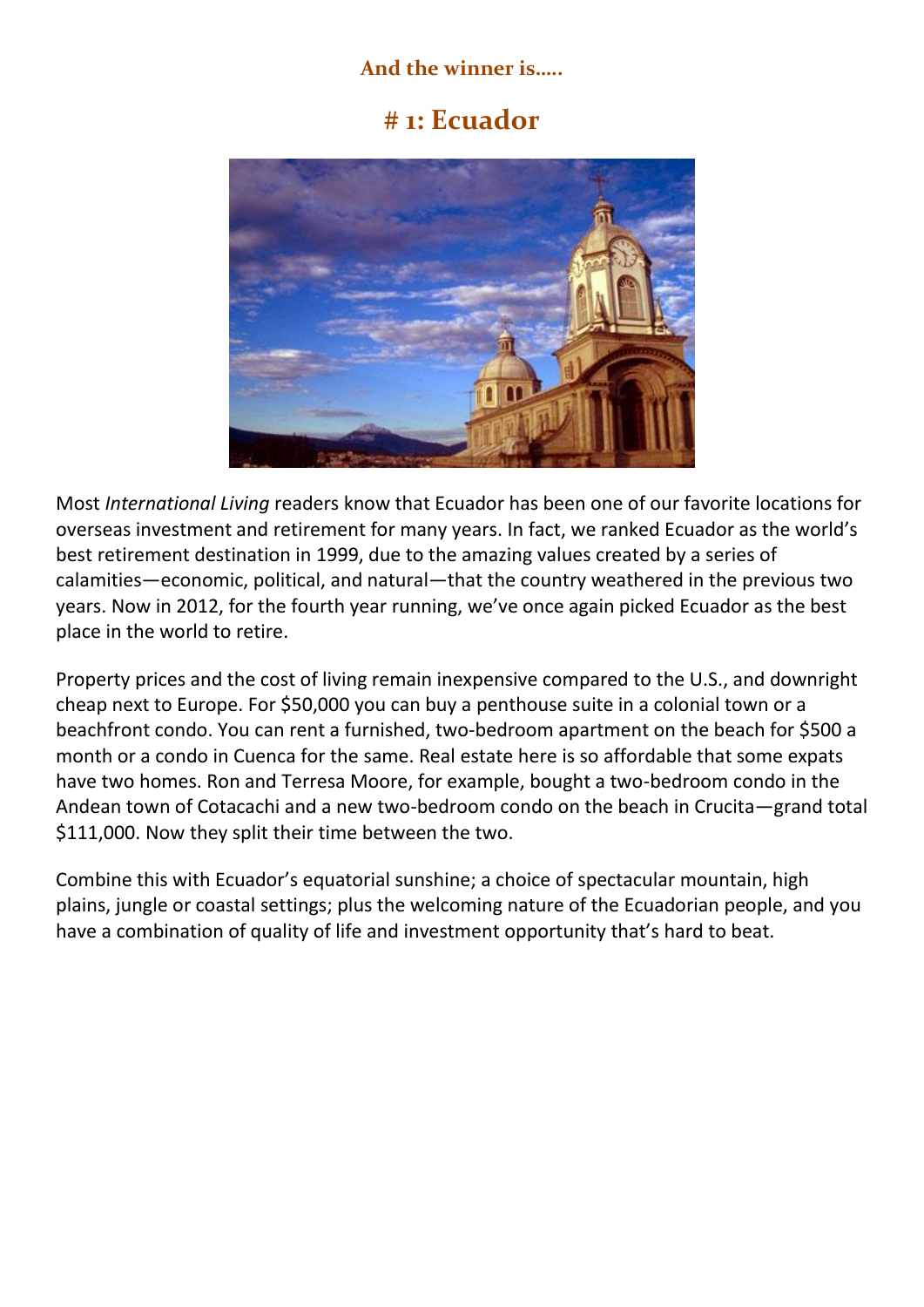#### **And the winner is…..**

#### **# 1: Ecuador**



Most *International Living* readers know that Ecuador has been one of our favorite locations for overseas investment and retirement for many years. In fact, we ranked Ecuador as the world's best retirement destination in 1999, due to the amazing values created by a series of calamities—economic, political, and natural—that the country weathered in the previous two years. Now in 2012, for the fourth year running, we've once again picked Ecuador as the best place in the world to retire.

Property prices and the cost of living remain inexpensive compared to the U.S., and downright cheap next to Europe. For \$50,000 you can buy a penthouse suite in a colonial town or a beachfront condo. You can rent a furnished, two-bedroom apartment on the beach for \$500 a month or a condo in Cuenca for the same. Real estate here is so affordable that some expats have two homes. Ron and Terresa Moore, for example, bought a two-bedroom condo in the Andean town of Cotacachi and a new two-bedroom condo on the beach in Crucita—grand total \$111,000. Now they split their time between the two.

Combine this with Ecuador's equatorial sunshine; a choice of spectacular mountain, high plains, jungle or coastal settings; plus the welcoming nature of the Ecuadorian people, and you have a combination of quality of life and investment opportunity that's hard to beat.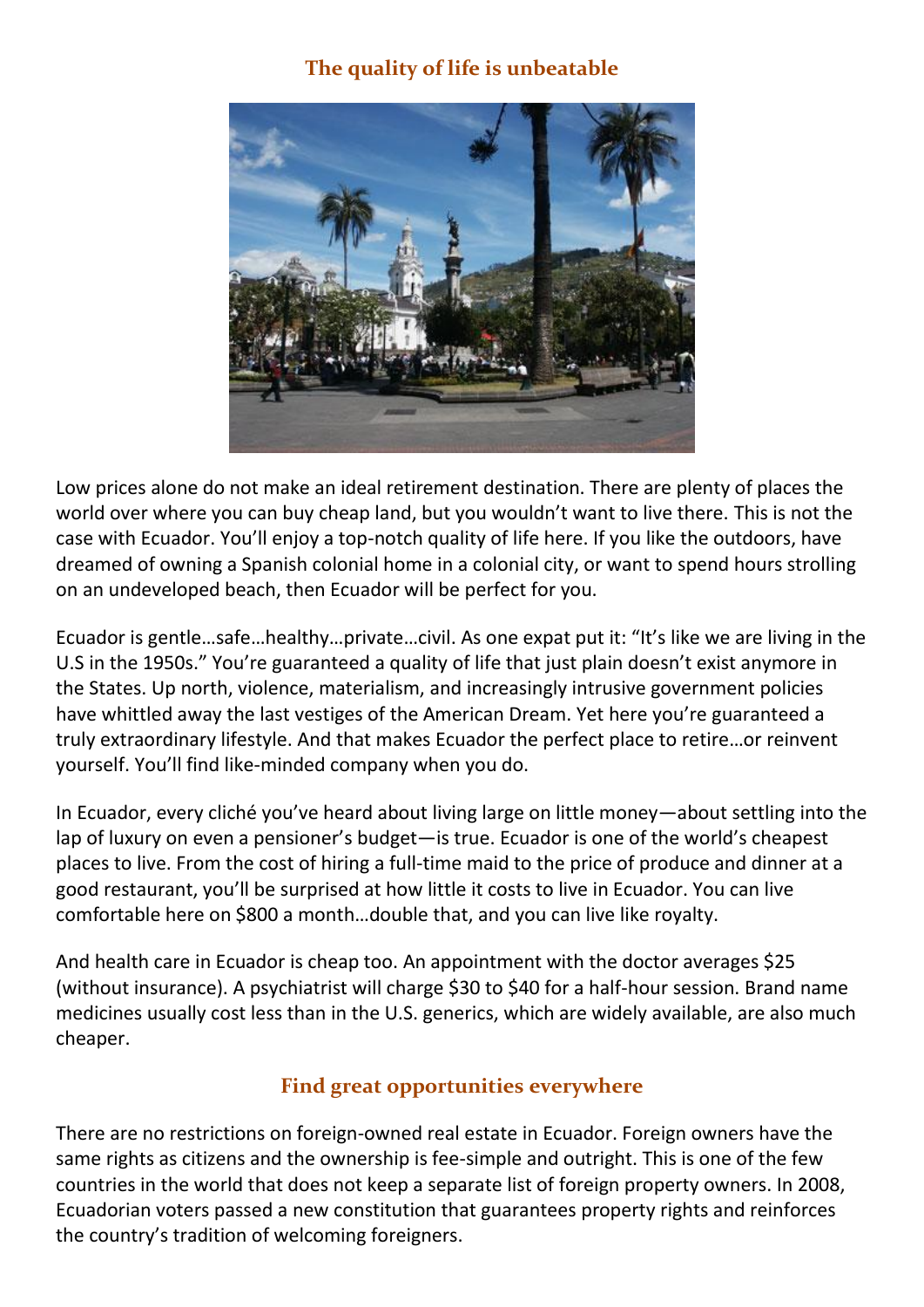#### **The quality of life is unbeatable**



Low prices alone do not make an ideal retirement destination. There are plenty of places the world over where you can buy cheap land, but you wouldn't want to live there. This is not the case with Ecuador. You'll enjoy a top-notch quality of life here. If you like the outdoors, have dreamed of owning a Spanish colonial home in a colonial city, or want to spend hours strolling on an undeveloped beach, then Ecuador will be perfect for you.

Ecuador is gentle…safe…healthy…private…civil. As one expat put it: "It's like we are living in the U.S in the 1950s." You're guaranteed a quality of life that just plain doesn't exist anymore in the States. Up north, violence, materialism, and increasingly intrusive government policies have whittled away the last vestiges of the American Dream. Yet here you're guaranteed a truly extraordinary lifestyle. And that makes Ecuador the perfect place to retire…or reinvent yourself. You'll find like-minded company when you do.

In Ecuador, every cliché you've heard about living large on little money—about settling into the lap of luxury on even a pensioner's budget—is true. Ecuador is one of the world's cheapest places to live. From the cost of hiring a full-time maid to the price of produce and dinner at a good restaurant, you'll be surprised at how little it costs to live in Ecuador. You can live comfortable here on \$800 a month…double that, and you can live like royalty.

And health care in Ecuador is cheap too. An appointment with the doctor averages \$25 (without insurance). A psychiatrist will charge \$30 to \$40 for a half-hour session. Brand name medicines usually cost less than in the U.S. generics, which are widely available, are also much cheaper.

#### **Find great opportunities everywhere**

There are no restrictions on foreign-owned real estate in Ecuador. Foreign owners have the same rights as citizens and the ownership is fee-simple and outright. This is one of the few countries in the world that does not keep a separate list of foreign property owners. In 2008, Ecuadorian voters passed a new constitution that guarantees property rights and reinforces the country's tradition of welcoming foreigners.